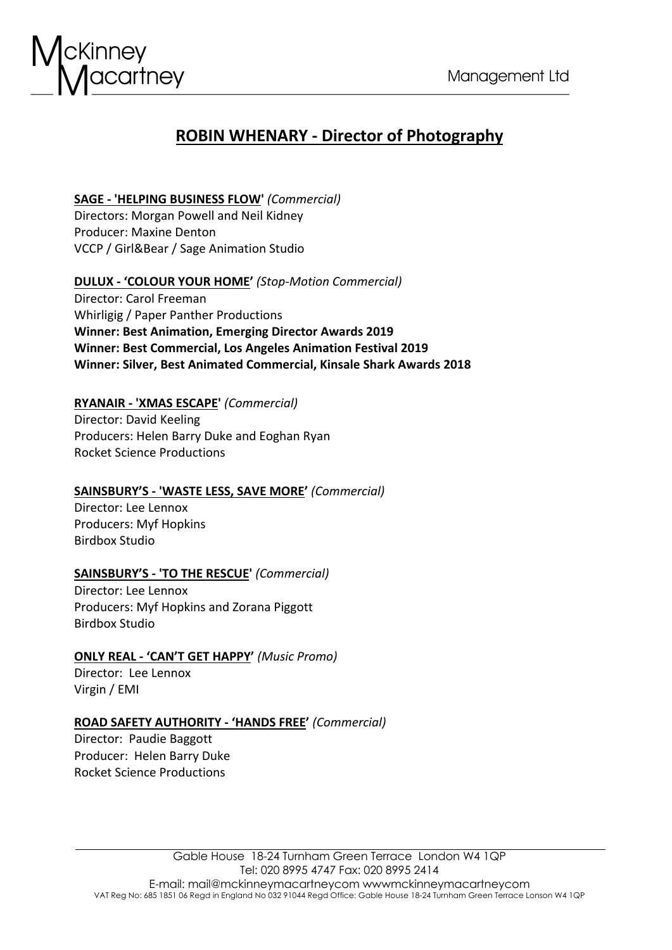

# **ROBIN WHENARY - Director of Photography**

## **SAGE - 'HELPING BUSINESS FLOW'** *(Commercial)* Directors: Morgan Powell and Neil Kidney Producer: Maxine Denton VCCP / Girl&Bear / Sage Animation Studio

# **DULUX - 'COLOUR YOUR HOME'** *(Stop-Motion Commercial)*

Director: Carol Freeman Whirligig / Paper Panther Productions **Winner: Best Animation, Emerging Director Awards 2019 Winner: Best Commercial, Los Angeles Animation Festival 2019 Winner: Silver, Best Animated Commercial, Kinsale Shark Awards 2018**

## **RYANAIR - 'XMAS ESCAPE'** *(Commercial)*

Director: David Keeling Producers: Helen Barry Duke and Eoghan Ryan Rocket Science Productions

## **SAINSBURY'S - 'WASTE LESS, SAVE MORE'** *(Commercial)*

Director: Lee Lennox Producers: Myf Hopkins Birdbox Studio

# **SAINSBURY'S - 'TO THE RESCUE'** *(Commercial)*

Director: Lee Lennox Producers: Myf Hopkins and Zorana Piggott Birdbox Studio

# **ONLY REAL - 'CAN'T GET HAPPY'** *(Music Promo)*

Director: Lee Lennox Virgin / EMI

# **ROAD SAFETY AUTHORITY - 'HANDS FREE'** *(Commercial)*

Director: Paudie Baggott Producer: Helen Barry Duke Rocket Science Productions